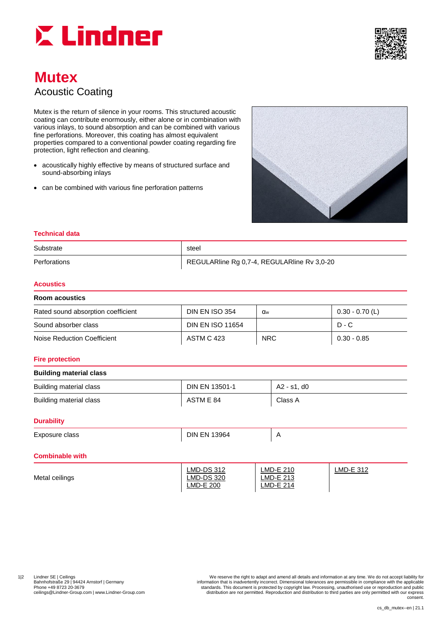



# **Mutex** Acoustic Coating

Mutex is the return of silence in your rooms. This structured acoustic coating can contribute enormously, either alone or in combination with various inlays, to sound absorption and can be combined with various fine perforations. Moreover, this coating has almost equivalent properties compared to a conventional powder coating regarding fire protection, light reflection and cleaning.

- acoustically highly effective by means of structured surface and sound-absorbing inlays
- can be combined with various fine perforation patterns



## **Technical data**

| Substrate    | steel                                       |
|--------------|---------------------------------------------|
| Perforations | REGULARIine Rg 0,7-4, REGULARIine Rv 3,0-20 |

#### **Acoustics**

| Room acoustics                     |                         |            |                   |  |  |
|------------------------------------|-------------------------|------------|-------------------|--|--|
| Rated sound absorption coefficient | <b>DIN EN ISO 354</b>   | <b>a</b> w | $0.30 - 0.70$ (L) |  |  |
| Sound absorber class               | <b>DIN EN ISO 11654</b> |            | $D - C$           |  |  |
| Noise Reduction Coefficient        | ASTM C 423              | <b>NRC</b> | $0.30 - 0.85$     |  |  |

#### **Fire protection**

## **Building material class**

| Building material class | <b>DIN EN 13501-1</b> | A2 - s1. d0 |
|-------------------------|-----------------------|-------------|
| Building material class | ASTM E 84             | Class A     |

#### **Durability**

| $\overline{\phantom{0}}$<br>Exposure class | 3964<br>DIN.<br>⊢N⊦ |  |
|--------------------------------------------|---------------------|--|
|                                            |                     |  |

# **Combinable with**

| Metal ceilings | <b>LMD-DS 312</b><br><b>LMD-DS 320</b> | LMD-E 210<br>LMD-E 213 | $LMD-E$ 312 |
|----------------|----------------------------------------|------------------------|-------------|
|                | <b>LMD-E 200</b>                       | $LMD-E$ 214            |             |

12 Lindner SE | Ceilings | Ceremany on the material of the serve the right to adapt and amend all details and information at any time. We do not accept liability for the displicts of the serve the right to adapt and amend ceilings@Lindner-Group.com | www.Lindner-Group.com distribution are not permitted. Reproduction and distribution to third parties are only permitted with our express consent.